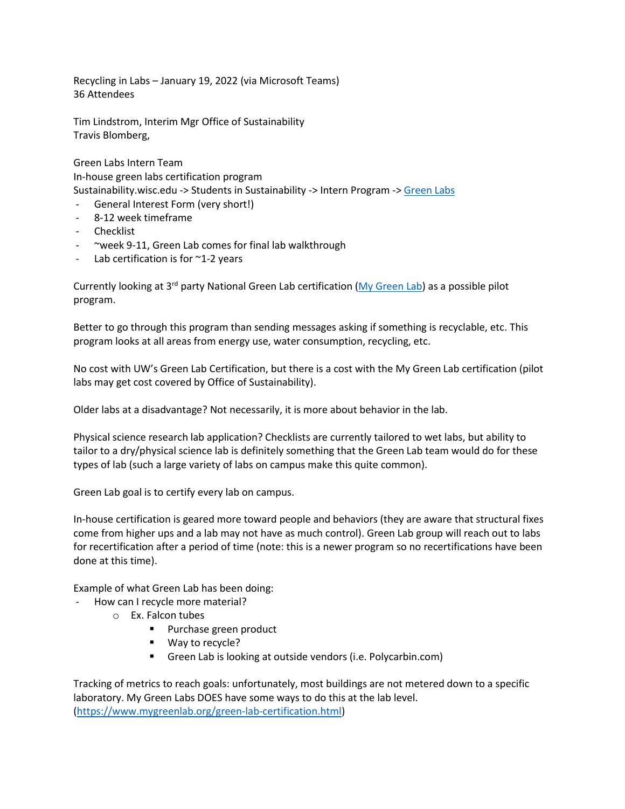Recycling in Labs – January 19, 2022 (via Microsoft Teams) 36 Attendees

Tim Lindstrom, Interim Mgr Office of Sustainability Travis Blomberg,

Green Labs Intern Team In-house green labs certification program Sustainability.wisc.edu -> Students in Sustainability -> Intern Program -> Green Labs

- General Interest Form (very short!)
- 8-12 week timeframe
- Checklist
- ~week 9-11, Green Lab comes for final lab walkthrough
- Lab certification is for  $\sim$ 1-2 years

Currently looking at 3<sup>rd</sup> party National Green Lab certification (My Green Lab) as a possible pilot program.

Better to go through this program than sending messages asking if something is recyclable, etc. This program looks at all areas from energy use, water consumption, recycling, etc.

No cost with UW's Green Lab Certification, but there is a cost with the My Green Lab certification (pilot labs may get cost covered by Office of Sustainability).

Older labs at a disadvantage? Not necessarily, it is more about behavior in the lab.

Physical science research lab application? Checklists are currently tailored to wet labs, but ability to tailor to a dry/physical science lab is definitely something that the Green Lab team would do for these types of lab (such a large variety of labs on campus make this quite common).

Green Lab goal is to certify every lab on campus.

In-house certification is geared more toward people and behaviors (they are aware that structural fixes come from higher ups and a lab may not have as much control). Green Lab group will reach out to labs for recertification after a period of time (note: this is a newer program so no recertifications have been done at this time).

Example of what Green Lab has been doing:

- How can I recycle more material?
	- o Ex. Falcon tubes
		- **Purchase green product**
		- Way to recycle?
		- Green Lab is looking at outside vendors (i.e. Polycarbin.com)

Tracking of metrics to reach goals: unfortunately, most buildings are not metered down to a specific laboratory. My Green Labs DOES have some ways to do this at the lab level. (https://www.mygreenlab.org/green-lab-certification.html)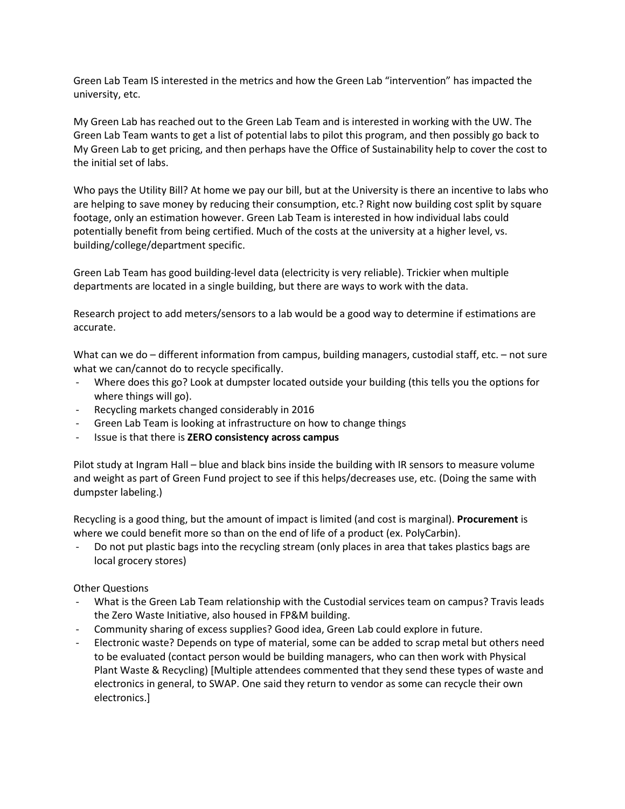Green Lab Team IS interested in the metrics and how the Green Lab "intervention" has impacted the university, etc.

My Green Lab has reached out to the Green Lab Team and is interested in working with the UW. The Green Lab Team wants to get a list of potential labs to pilot this program, and then possibly go back to My Green Lab to get pricing, and then perhaps have the Office of Sustainability help to cover the cost to the initial set of labs.

Who pays the Utility Bill? At home we pay our bill, but at the University is there an incentive to labs who are helping to save money by reducing their consumption, etc.? Right now building cost split by square footage, only an estimation however. Green Lab Team is interested in how individual labs could potentially benefit from being certified. Much of the costs at the university at a higher level, vs. building/college/department specific.

Green Lab Team has good building-level data (electricity is very reliable). Trickier when multiple departments are located in a single building, but there are ways to work with the data.

Research project to add meters/sensors to a lab would be a good way to determine if estimations are accurate.

What can we do – different information from campus, building managers, custodial staff, etc. – not sure what we can/cannot do to recycle specifically.

- Where does this go? Look at dumpster located outside your building (this tells you the options for where things will go).
- Recycling markets changed considerably in 2016
- Green Lab Team is looking at infrastructure on how to change things
- Issue is that there is **ZERO consistency across campus**

Pilot study at Ingram Hall – blue and black bins inside the building with IR sensors to measure volume and weight as part of Green Fund project to see if this helps/decreases use, etc. (Doing the same with dumpster labeling.)

Recycling is a good thing, but the amount of impact is limited (and cost is marginal). **Procurement** is where we could benefit more so than on the end of life of a product (ex. PolyCarbin).

Do not put plastic bags into the recycling stream (only places in area that takes plastics bags are local grocery stores)

## Other Questions

- What is the Green Lab Team relationship with the Custodial services team on campus? Travis leads the Zero Waste Initiative, also housed in FP&M building.
- Community sharing of excess supplies? Good idea, Green Lab could explore in future.
- Electronic waste? Depends on type of material, some can be added to scrap metal but others need to be evaluated (contact person would be building managers, who can then work with Physical Plant Waste & Recycling) [Multiple attendees commented that they send these types of waste and electronics in general, to SWAP. One said they return to vendor as some can recycle their own electronics.]